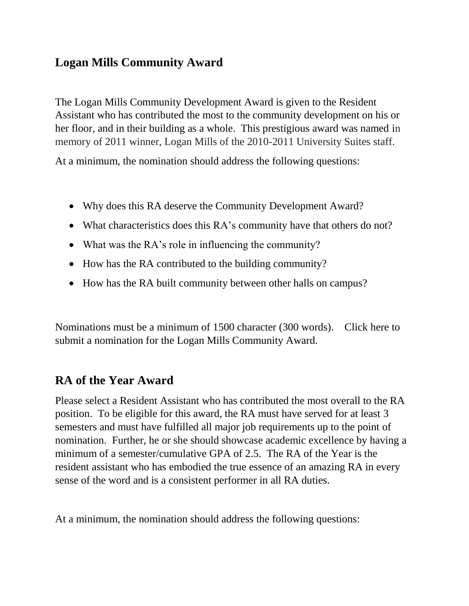### **Logan Mills Community Award**

The Logan Mills Community Development Award is given to the Resident Assistant who has contributed the most to the community development on his or her floor, and in their building as a whole. This prestigious award was named in memory of 2011 winner, Logan Mills of the 2010-2011 University Suites staff.

At a minimum, the nomination should address the following questions:

- Why does this RA deserve the Community Development Award?
- What characteristics does this RA's community have that others do not?
- What was the RA's role in influencing the community?
- How has the RA contributed to the building community?
- How has the RA built community between other halls on campus?

Nominations must be a minimum of 1500 character (300 words). Click here to submit a nomination for the Logan Mills Community Award.

#### **RA of the Year Award**

Please select a Resident Assistant who has contributed the most overall to the RA position. To be eligible for this award, the RA must have served for at least 3 semesters and must have fulfilled all major job requirements up to the point of nomination. Further, he or she should showcase academic excellence by having a minimum of a semester/cumulative GPA of 2.5. The RA of the Year is the resident assistant who has embodied the true essence of an amazing RA in every sense of the word and is a consistent performer in all RA duties.

At a minimum, the nomination should address the following questions: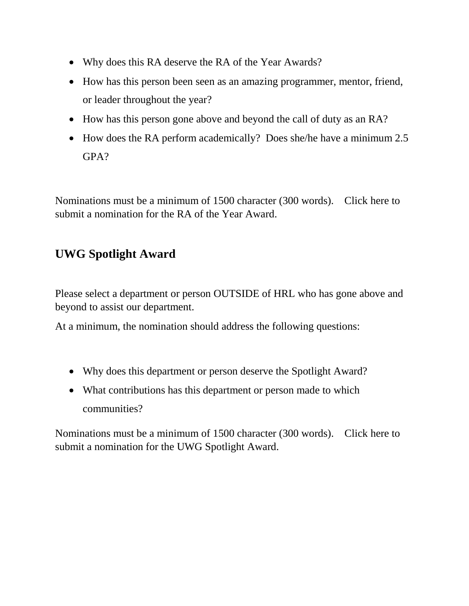- Why does this RA deserve the RA of the Year Awards?
- How has this person been seen as an amazing programmer, mentor, friend, or leader throughout the year?
- How has this person gone above and beyond the call of duty as an RA?
- How does the RA perform academically? Does she/he have a minimum 2.5 GPA?

Nominations must be a minimum of 1500 character (300 words). Click here to submit a nomination for the RA of the Year Award.

## **UWG Spotlight Award**

Please select a department or person OUTSIDE of HRL who has gone above and beyond to assist our department.

At a minimum, the nomination should address the following questions:

- Why does this department or person deserve the Spotlight Award?
- What contributions has this department or person made to which communities?

Nominations must be a minimum of 1500 character (300 words). Click here to submit a nomination for the UWG Spotlight Award.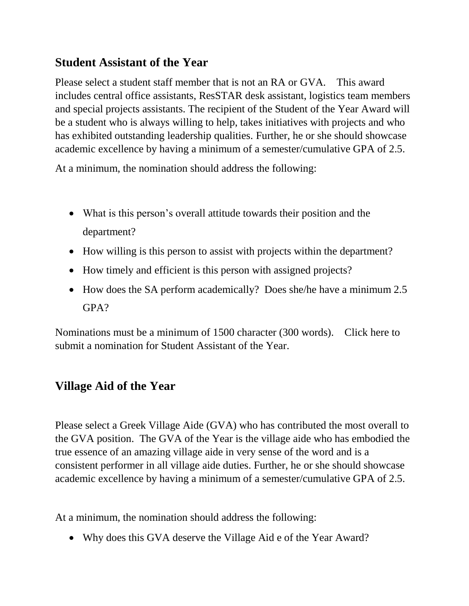## **Student Assistant of the Year**

Please select a student staff member that is not an RA or GVA. This award includes central office assistants, ResSTAR desk assistant, logistics team members and special projects assistants. The recipient of the Student of the Year Award will be a student who is always willing to help, takes initiatives with projects and who has exhibited outstanding leadership qualities. Further, he or she should showcase academic excellence by having a minimum of a semester/cumulative GPA of 2.5.

At a minimum, the nomination should address the following:

- What is this person's overall attitude towards their position and the department?
- How willing is this person to assist with projects within the department?
- How timely and efficient is this person with assigned projects?
- How does the SA perform academically? Does she/he have a minimum 2.5 GPA?

Nominations must be a minimum of 1500 character (300 words). Click here to submit a nomination for Student Assistant of the Year.

# **Village Aid of the Year**

Please select a Greek Village Aide (GVA) who has contributed the most overall to the GVA position. The GVA of the Year is the village aide who has embodied the true essence of an amazing village aide in very sense of the word and is a consistent performer in all village aide duties. Further, he or she should showcase academic excellence by having a minimum of a semester/cumulative GPA of 2.5.

At a minimum, the nomination should address the following:

• Why does this GVA deserve the Village Aid e of the Year Award?